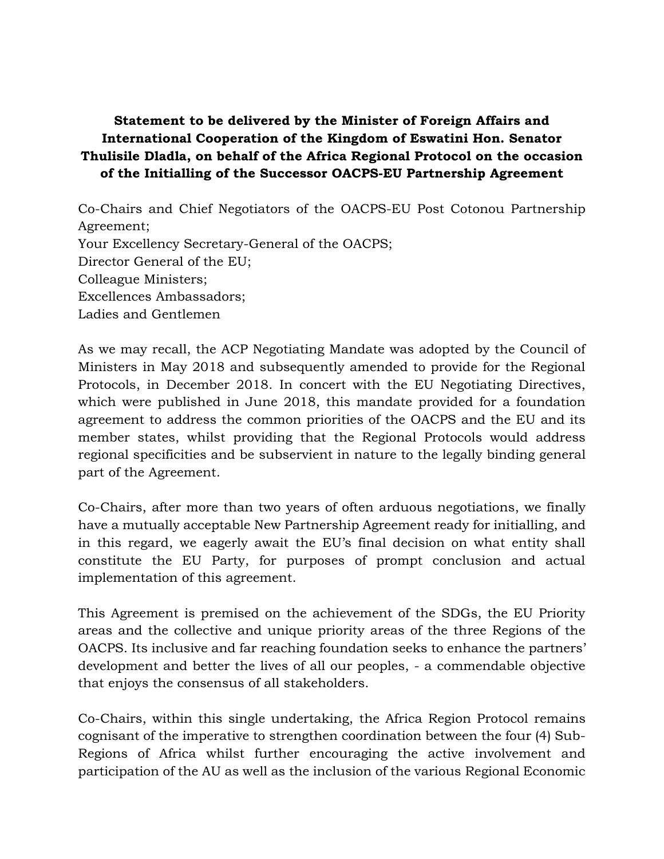## **Statement to be delivered by the Minister of Foreign Affairs and International Cooperation of the Kingdom of Eswatini Hon. Senator Thulisile Dladla, on behalf of the Africa Regional Protocol on the occasion of the Initialling of the Successor OACPS-EU Partnership Agreement**

Co-Chairs and Chief Negotiators of the OACPS-EU Post Cotonou Partnership Agreement; Your Excellency Secretary-General of the OACPS; Director General of the EU; Colleague Ministers; Excellences Ambassadors; Ladies and Gentlemen

As we may recall, the ACP Negotiating Mandate was adopted by the Council of Ministers in May 2018 and subsequently amended to provide for the Regional Protocols, in December 2018. In concert with the EU Negotiating Directives, which were published in June 2018, this mandate provided for a foundation agreement to address the common priorities of the OACPS and the EU and its member states, whilst providing that the Regional Protocols would address regional specificities and be subservient in nature to the legally binding general part of the Agreement.

Co-Chairs, after more than two years of often arduous negotiations, we finally have a mutually acceptable New Partnership Agreement ready for initialling, and in this regard, we eagerly await the EU's final decision on what entity shall constitute the EU Party, for purposes of prompt conclusion and actual implementation of this agreement.

This Agreement is premised on the achievement of the SDGs, the EU Priority areas and the collective and unique priority areas of the three Regions of the OACPS. Its inclusive and far reaching foundation seeks to enhance the partners' development and better the lives of all our peoples, - a commendable objective that enjoys the consensus of all stakeholders.

Co-Chairs, within this single undertaking, the Africa Region Protocol remains cognisant of the imperative to strengthen coordination between the four (4) Sub-Regions of Africa whilst further encouraging the active involvement and participation of the AU as well as the inclusion of the various Regional Economic